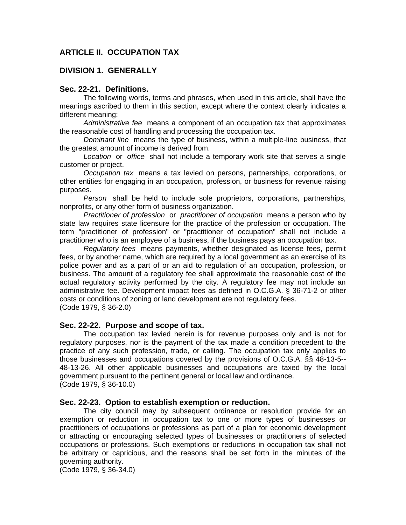# **ARTICLE II. OCCUPATION TAX**

# **DIVISION 1. GENERALLY**

#### **Sec. 22-21. Definitions.**

The following words, terms and phrases, when used in this article, shall have the meanings ascribed to them in this section, except where the context clearly indicates a different meaning:

*Administrative fee* means a component of an occupation tax that approximates the reasonable cost of handling and processing the occupation tax.

*Dominant line* means the type of business, within a multiple-line business, that the greatest amount of income is derived from.

*Location* or *office* shall not include a temporary work site that serves a single customer or project.

*Occupation tax* means a tax levied on persons, partnerships, corporations, or other entities for engaging in an occupation, profession, or business for revenue raising purposes.

*Person* shall be held to include sole proprietors, corporations, partnerships, nonprofits, or any other form of business organization.

*Practitioner of profession* or *practitioner of occupation* means a person who by state law requires state licensure for the practice of the profession or occupation. The term "practitioner of profession" or "practitioner of occupation" shall not include a practitioner who is an employee of a business, if the business pays an occupation tax.

*Regulatory fees* means payments, whether designated as license fees, permit fees, or by another name, which are required by a local government as an exercise of its police power and as a part of or an aid to regulation of an occupation, profession, or business. The amount of a regulatory fee shall approximate the reasonable cost of the actual regulatory activity performed by the city. A regulatory fee may not include an administrative fee. Development impact fees as defined in O.C.G.A. § 36-71-2 or other costs or conditions of zoning or land development are not regulatory fees. (Code 1979, § 36-2.0)

#### **Sec. 22-22. Purpose and scope of tax.**

The occupation tax levied herein is for revenue purposes only and is not for regulatory purposes, nor is the payment of the tax made a condition precedent to the practice of any such profession, trade, or calling. The occupation tax only applies to those businesses and occupations covered by the provisions of O.C.G.A. §§ 48-13-5-- 48-13-26. All other applicable businesses and occupations are taxed by the local government pursuant to the pertinent general or local law and ordinance. (Code 1979, § 36-10.0)

#### **Sec. 22-23. Option to establish exemption or reduction.**

The city council may by subsequent ordinance or resolution provide for an exemption or reduction in occupation tax to one or more types of businesses or practitioners of occupations or professions as part of a plan for economic development or attracting or encouraging selected types of businesses or practitioners of selected occupations or professions. Such exemptions or reductions in occupation tax shall not be arbitrary or capricious, and the reasons shall be set forth in the minutes of the governing authority.

(Code 1979, § 36-34.0)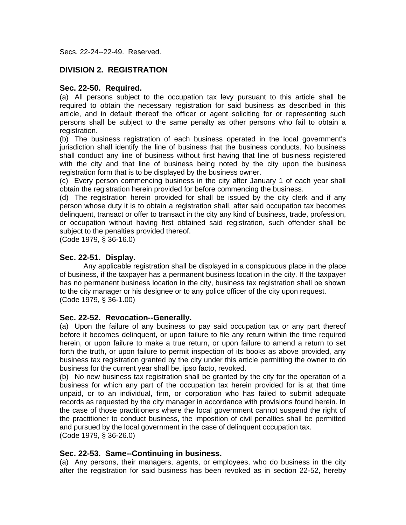Secs. 22-24--22-49. Reserved.

# **DIVISION 2. REGISTRATION**

#### **Sec. 22-50. Required.**

(a) All persons subject to the occupation tax levy pursuant to this article shall be required to obtain the necessary registration for said business as described in this article, and in default thereof the officer or agent soliciting for or representing such persons shall be subject to the same penalty as other persons who fail to obtain a registration.

(b) The business registration of each business operated in the local government's jurisdiction shall identify the line of business that the business conducts. No business shall conduct any line of business without first having that line of business registered with the city and that line of business being noted by the city upon the business registration form that is to be displayed by the business owner.

(c) Every person commencing business in the city after January 1 of each year shall obtain the registration herein provided for before commencing the business.

(d) The registration herein provided for shall be issued by the city clerk and if any person whose duty it is to obtain a registration shall, after said occupation tax becomes delinquent, transact or offer to transact in the city any kind of business, trade, profession, or occupation without having first obtained said registration, such offender shall be subject to the penalties provided thereof.

(Code 1979, § 36-16.0)

# **Sec. 22-51. Display.**

Any applicable registration shall be displayed in a conspicuous place in the place of business, if the taxpayer has a permanent business location in the city. If the taxpayer has no permanent business location in the city, business tax registration shall be shown to the city manager or his designee or to any police officer of the city upon request. (Code 1979, § 36-1.00)

# **Sec. 22-52. Revocation--Generally.**

(a) Upon the failure of any business to pay said occupation tax or any part thereof before it becomes delinquent, or upon failure to file any return within the time required herein, or upon failure to make a true return, or upon failure to amend a return to set forth the truth, or upon failure to permit inspection of its books as above provided, any business tax registration granted by the city under this article permitting the owner to do business for the current year shall be, ipso facto, revoked.

(b) No new business tax registration shall be granted by the city for the operation of a business for which any part of the occupation tax herein provided for is at that time unpaid, or to an individual, firm, or corporation who has failed to submit adequate records as requested by the city manager in accordance with provisions found herein. In the case of those practitioners where the local government cannot suspend the right of the practitioner to conduct business, the imposition of civil penalties shall be permitted and pursued by the local government in the case of delinquent occupation tax. (Code 1979, § 36-26.0)

# **Sec. 22-53. Same--Continuing in business.**

(a) Any persons, their managers, agents, or employees, who do business in the city after the registration for said business has been revoked as in section 22-52, hereby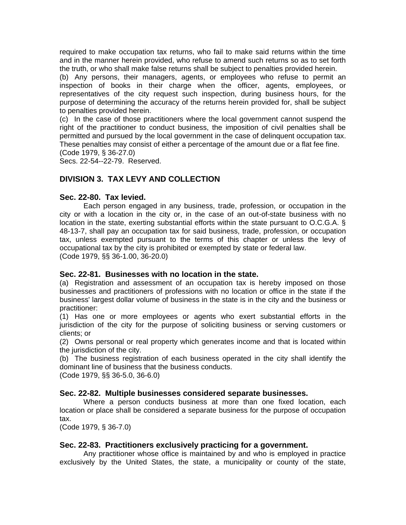required to make occupation tax returns, who fail to make said returns within the time and in the manner herein provided, who refuse to amend such returns so as to set forth the truth, or who shall make false returns shall be subject to penalties provided herein.

(b) Any persons, their managers, agents, or employees who refuse to permit an inspection of books in their charge when the officer, agents, employees, or representatives of the city request such inspection, during business hours, for the purpose of determining the accuracy of the returns herein provided for, shall be subject to penalties provided herein.

(c) In the case of those practitioners where the local government cannot suspend the right of the practitioner to conduct business, the imposition of civil penalties shall be permitted and pursued by the local government in the case of delinquent occupation tax. These penalties may consist of either a percentage of the amount due or a flat fee fine. (Code 1979, § 36-27.0)

Secs. 22-54--22-79. Reserved.

# **DIVISION 3. TAX LEVY AND COLLECTION**

# **Sec. 22-80. Tax levied.**

Each person engaged in any business, trade, profession, or occupation in the city or with a location in the city or, in the case of an out-of-state business with no location in the state, exerting substantial efforts within the state pursuant to O.C.G.A. § 48-13-7, shall pay an occupation tax for said business, trade, profession, or occupation tax, unless exempted pursuant to the terms of this chapter or unless the levy of occupational tax by the city is prohibited or exempted by state or federal law. (Code 1979, §§ 36-1.00, 36-20.0)

# **Sec. 22-81. Businesses with no location in the state.**

(a) Registration and assessment of an occupation tax is hereby imposed on those businesses and practitioners of professions with no location or office in the state if the business' largest dollar volume of business in the state is in the city and the business or practitioner:

(1) Has one or more employees or agents who exert substantial efforts in the jurisdiction of the city for the purpose of soliciting business or serving customers or clients; or

(2) Owns personal or real property which generates income and that is located within the jurisdiction of the city.

(b) The business registration of each business operated in the city shall identify the dominant line of business that the business conducts.

(Code 1979, §§ 36-5.0, 36-6.0)

# **Sec. 22-82. Multiple businesses considered separate businesses.**

Where a person conducts business at more than one fixed location, each location or place shall be considered a separate business for the purpose of occupation tax.

(Code 1979, § 36-7.0)

# **Sec. 22-83. Practitioners exclusively practicing for a government.**

Any practitioner whose office is maintained by and who is employed in practice exclusively by the United States, the state, a municipality or county of the state,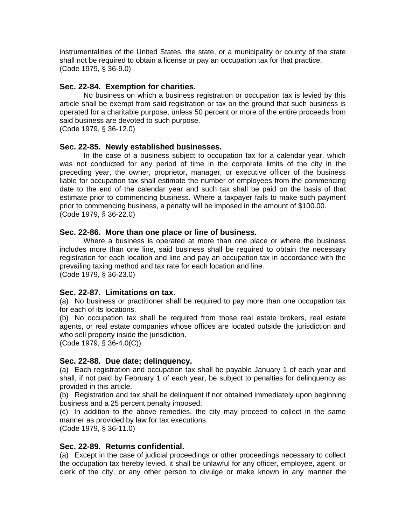instrumentalities of the United States, the state, or a municipality or county of the state shall not be required to obtain a license or pay an occupation tax for that practice. (Code 1979, § 36-9.0)

# **Sec. 22-84. Exemption for charities.**

No business on which a business registration or occupation tax is levied by this article shall be exempt from said registration or tax on the ground that such business is operated for a charitable purpose, unless 50 percent or more of the entire proceeds from said business are devoted to such purpose.

(Code 1979, § 36-12.0)

# **Sec. 22-85. Newly established businesses.**

In the case of a business subject to occupation tax for a calendar year, which was not conducted for any period of time in the corporate limits of the city in the preceding year, the owner, proprietor, manager, or executive officer of the business liable for occupation tax shall estimate the number of employees from the commencing date to the end of the calendar year and such tax shall be paid on the basis of that estimate prior to commencing business. Where a taxpayer fails to make such payment prior to commencing business, a penalty will be imposed in the amount of \$100.00. (Code 1979, § 36-22.0)

# **Sec. 22-86. More than one place or line of business.**

Where a business is operated at more than one place or where the business includes more than one line, said business shall be required to obtain the necessary registration for each location and line and pay an occupation tax in accordance with the prevailing taxing method and tax rate for each location and line. (Code 1979, § 36-23.0)

# **Sec. 22-87. Limitations on tax.**

(a) No business or practitioner shall be required to pay more than one occupation tax for each of its locations.

(b) No occupation tax shall be required from those real estate brokers, real estate agents, or real estate companies whose offices are located outside the jurisdiction and who sell property inside the jurisdiction.

(Code 1979, § 36-4.0(C))

# **Sec. 22-88. Due date; delinquency.**

(a) Each registration and occupation tax shall be payable January 1 of each year and shall, if not paid by February 1 of each year, be subject to penalties for delinquency as provided in this article.

(b) Registration and tax shall be delinquent if not obtained immediately upon beginning business and a 25 percent penalty imposed.

(c) In addition to the above remedies, the city may proceed to collect in the same manner as provided by law for tax executions.

(Code 1979, § 36-11.0)

# **Sec. 22-89. Returns confidential.**

(a) Except in the case of judicial proceedings or other proceedings necessary to collect the occupation tax hereby levied, it shall be unlawful for any officer, employee, agent, or clerk of the city, or any other person to divulge or make known in any manner the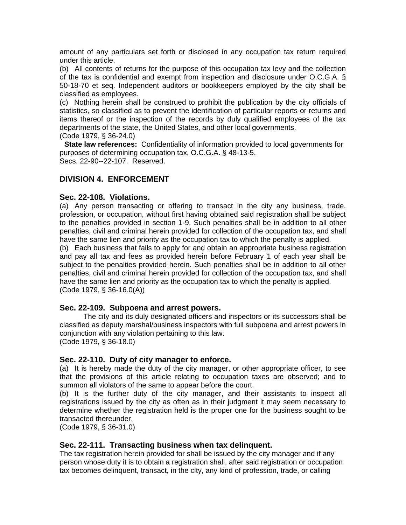amount of any particulars set forth or disclosed in any occupation tax return required under this article.

(b) All contents of returns for the purpose of this occupation tax levy and the collection of the tax is confidential and exempt from inspection and disclosure under O.C.G.A. § 50-18-70 et seq. Independent auditors or bookkeepers employed by the city shall be classified as employees.

(c) Nothing herein shall be construed to prohibit the publication by the city officials of statistics, so classified as to prevent the identification of particular reports or returns and items thereof or the inspection of the records by duly qualified employees of the tax departments of the state, the United States, and other local governments.

(Code 1979, § 36-24.0)

**State law references:** Confidentiality of information provided to local governments for purposes of determining occupation tax, O.C.G.A. § 48-13-5. Secs. 22-90--22-107. Reserved.

# **DIVISION 4. ENFORCEMENT**

#### **Sec. 22-108. Violations.**

(a) Any person transacting or offering to transact in the city any business, trade, profession, or occupation, without first having obtained said registration shall be subject to the penalties provided in section 1-9. Such penalties shall be in addition to all other penalties, civil and criminal herein provided for collection of the occupation tax, and shall have the same lien and priority as the occupation tax to which the penalty is applied.

(b) Each business that fails to apply for and obtain an appropriate business registration and pay all tax and fees as provided herein before February 1 of each year shall be subject to the penalties provided herein. Such penalties shall be in addition to all other penalties, civil and criminal herein provided for collection of the occupation tax, and shall have the same lien and priority as the occupation tax to which the penalty is applied. (Code 1979, § 36-16.0(A))

# **Sec. 22-109. Subpoena and arrest powers.**

The city and its duly designated officers and inspectors or its successors shall be classified as deputy marshal/business inspectors with full subpoena and arrest powers in conjunction with any violation pertaining to this law. (Code 1979, § 36-18.0)

# **Sec. 22-110. Duty of city manager to enforce.**

(a) It is hereby made the duty of the city manager, or other appropriate officer, to see that the provisions of this article relating to occupation taxes are observed; and to summon all violators of the same to appear before the court.

(b) It is the further duty of the city manager, and their assistants to inspect all registrations issued by the city as often as in their judgment it may seem necessary to determine whether the registration held is the proper one for the business sought to be transacted thereunder.

(Code 1979, § 36-31.0)

# **Sec. 22-111. Transacting business when tax delinquent.**

The tax registration herein provided for shall be issued by the city manager and if any person whose duty it is to obtain a registration shall, after said registration or occupation tax becomes delinquent, transact, in the city, any kind of profession, trade, or calling